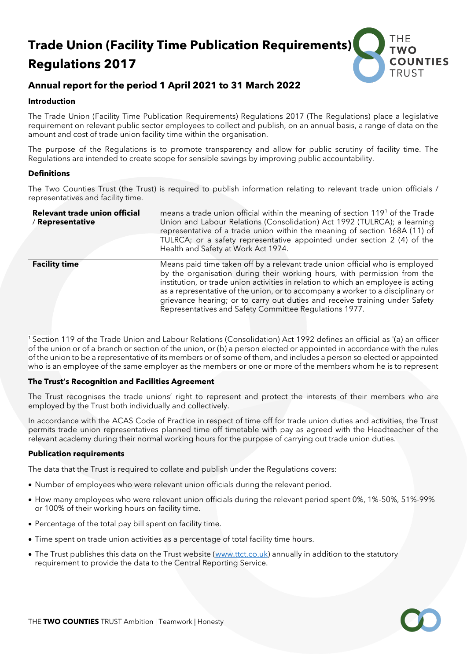# **Trade Union (Facility Time Publication Requirements) Regulations 2017**



# **Annual report for the period 1 April 2021 to 31 March 2022**

#### **Introduction**

The Trade Union (Facility Time Publication Requirements) Regulations 2017 (The Regulations) place a legislative requirement on relevant public sector employees to collect and publish, on an annual basis, a range of data on the amount and cost of trade union facility time within the organisation.

The purpose of the Regulations is to promote transparency and allow for public scrutiny of facility time. The Regulations are intended to create scope for sensible savings by improving public accountability.

#### **Definitions**

The Two Counties Trust (the Trust) is required to publish information relating to relevant trade union officials / representatives and facility time.

| Relevant trade union official<br>/ Representative | means a trade union official within the meaning of section 119 <sup>1</sup> of the Trade<br>Union and Labour Relations (Consolidation) Act 1992 (TULRCA); a learning<br>representative of a trade union within the meaning of section 168A (11) of<br>TULRCA; or a safety representative appointed under section 2 (4) of the<br>Health and Safety at Work Act 1974.                                                                                                      |  |  |  |  |
|---------------------------------------------------|---------------------------------------------------------------------------------------------------------------------------------------------------------------------------------------------------------------------------------------------------------------------------------------------------------------------------------------------------------------------------------------------------------------------------------------------------------------------------|--|--|--|--|
| <b>Facility time</b>                              | Means paid time taken off by a relevant trade union official who is employed<br>by the organisation during their working hours, with permission from the<br>institution, or trade union activities in relation to which an employee is acting<br>as a representative of the union, or to accompany a worker to a disciplinary or<br>grievance hearing; or to carry out duties and receive training under Safety<br>Representatives and Safety Committee Regulations 1977. |  |  |  |  |

<sup>1</sup>Section 119 of the Trade Union and Labour Relations (Consolidation) Act 1992 defines an official as '(a) an officer of the union or of a branch or section of the union, or (b) a person elected or appointed in accordance with the rules of the union to be a representative of its members or of some of them, and includes a person so elected or appointed who is an employee of the same employer as the members or one or more of the members whom he is to represent

#### **The Trust's Recognition and Facilities Agreement**

The Trust recognises the trade unions' right to represent and protect the interests of their members who are employed by the Trust both individually and collectively.

In accordance with the ACAS Code of Practice in respect of time off for trade union duties and activities, the Trust permits trade union representatives planned time off timetable with pay as agreed with the Headteacher of the relevant academy during their normal working hours for the purpose of carrying out trade union duties.

#### **Publication requirements**

The data that the Trust is required to collate and publish under the Regulations covers:

- Number of employees who were relevant union officials during the relevant period.
- How many employees who were relevant union officials during the relevant period spent 0%, 1%-50%, 51%-99% or 100% of their working hours on facility time.
- Percentage of the total pay bill spent on facility time.
- Time spent on trade union activities as a percentage of total facility time hours.
- The Trust publishes this data on the Trust website [\(www.ttct.co.uk\)](http://www.ttct.co.uk/) annually in addition to the statutory requirement to provide the data to the Central Reporting Service.